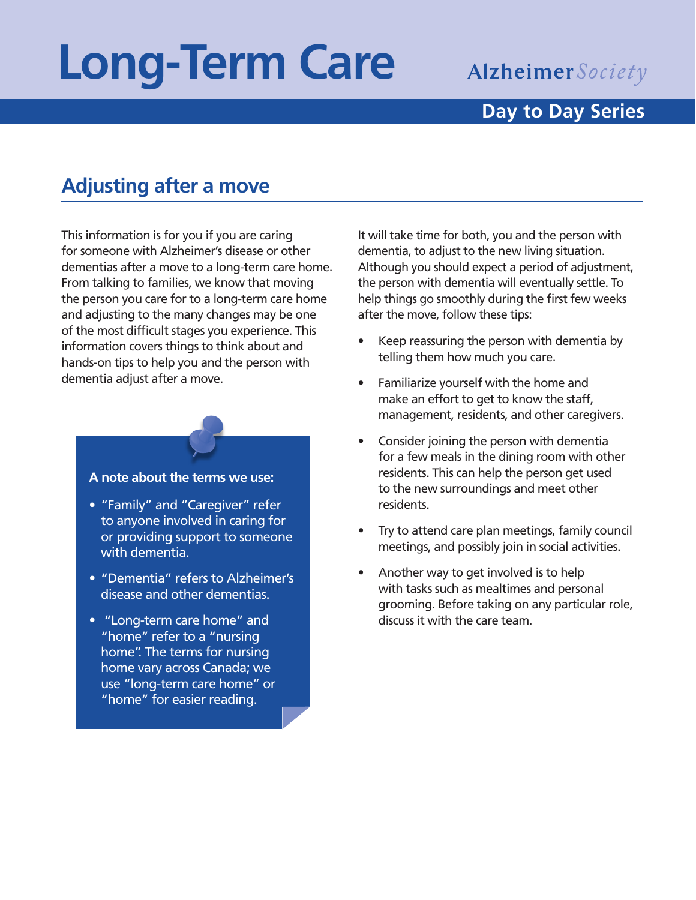# **Long-Term Care**

## Alzheimer Society

#### **Day to Day Series**

### **Adjusting after a move**

This information is for you if you are caring for someone with Alzheimer's disease or other dementias after a move to a long-term care home. From talking to families, we know that moving the person you care for to a long-term care home and adjusting to the many changes may be one of the most difficult stages you experience. This information covers things to think about and hands-on tips to help you and the person with dementia adjust after a move.

# **A note about the terms we use:**

- "Family" and "Caregiver" refer to anyone involved in caring for or providing support to someone with dementia.
- "Dementia" refers to Alzheimer's disease and other dementias.
- "Long-term care home" and "home" refer to a "nursing home". The terms for nursing home vary across Canada; we use "long-term care home" or "home" for easier reading.

It will take time for both, you and the person with dementia, to adjust to the new living situation. Although you should expect a period of adjustment, the person with dementia will eventually settle. To help things go smoothly during the first few weeks after the move, follow these tips:

- Keep reassuring the person with dementia by telling them how much you care.
- Familiarize yourself with the home and make an effort to get to know the staff, management, residents, and other caregivers.
- Consider joining the person with dementia for a few meals in the dining room with other residents. This can help the person get used to the new surroundings and meet other residents.
- Try to attend care plan meetings, family council meetings, and possibly join in social activities.
- Another way to get involved is to help with tasks such as mealtimes and personal grooming. Before taking on any particular role, discuss it with the care team.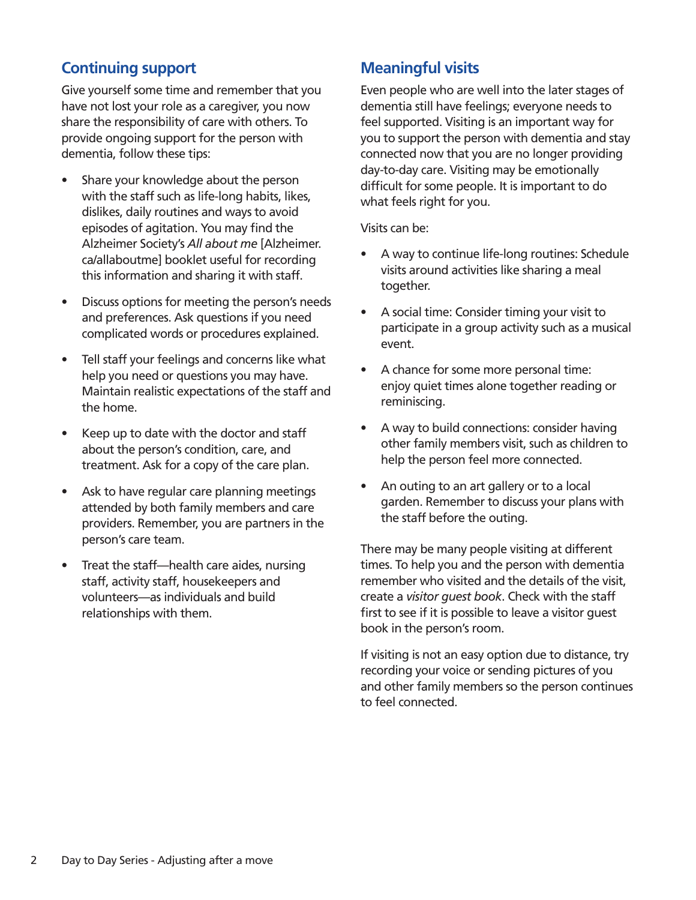#### **Continuing support**

Give yourself some time and remember that you have not lost your role as a caregiver, you now share the responsibility of care with others. To provide ongoing support for the person with dementia, follow these tips:

- Share your knowledge about the person with the staff such as life-long habits, likes, dislikes, daily routines and ways to avoid episodes of agitation. You may find the Alzheimer Society's *All about me* [Alzheimer. ca/allaboutme] booklet useful for recording this information and sharing it with staff.
- Discuss options for meeting the person's needs and preferences. Ask questions if you need complicated words or procedures explained.
- Tell staff your feelings and concerns like what help you need or questions you may have. Maintain realistic expectations of the staff and the home.
- Keep up to date with the doctor and staff about the person's condition, care, and treatment. Ask for a copy of the care plan.
- Ask to have regular care planning meetings attended by both family members and care providers. Remember, you are partners in the person's care team.
- Treat the staff—health care aides, nursing staff, activity staff, housekeepers and volunteers—as individuals and build relationships with them.

#### **Meaningful visits**

Even people who are well into the later stages of dementia still have feelings; everyone needs to feel supported. Visiting is an important way for you to support the person with dementia and stay connected now that you are no longer providing day-to-day care. Visiting may be emotionally difficult for some people. It is important to do what feels right for you.

Visits can be:

- A way to continue life-long routines: Schedule visits around activities like sharing a meal together.
- A social time: Consider timing your visit to participate in a group activity such as a musical event.
- A chance for some more personal time: enjoy quiet times alone together reading or reminiscing.
- A way to build connections: consider having other family members visit, such as children to help the person feel more connected.
- An outing to an art gallery or to a local garden. Remember to discuss your plans with the staff before the outing.

There may be many people visiting at different times. To help you and the person with dementia remember who visited and the details of the visit, create a *visitor guest book*. Check with the staff first to see if it is possible to leave a visitor guest book in the person's room.

If visiting is not an easy option due to distance, try recording your voice or sending pictures of you and other family members so the person continues to feel connected.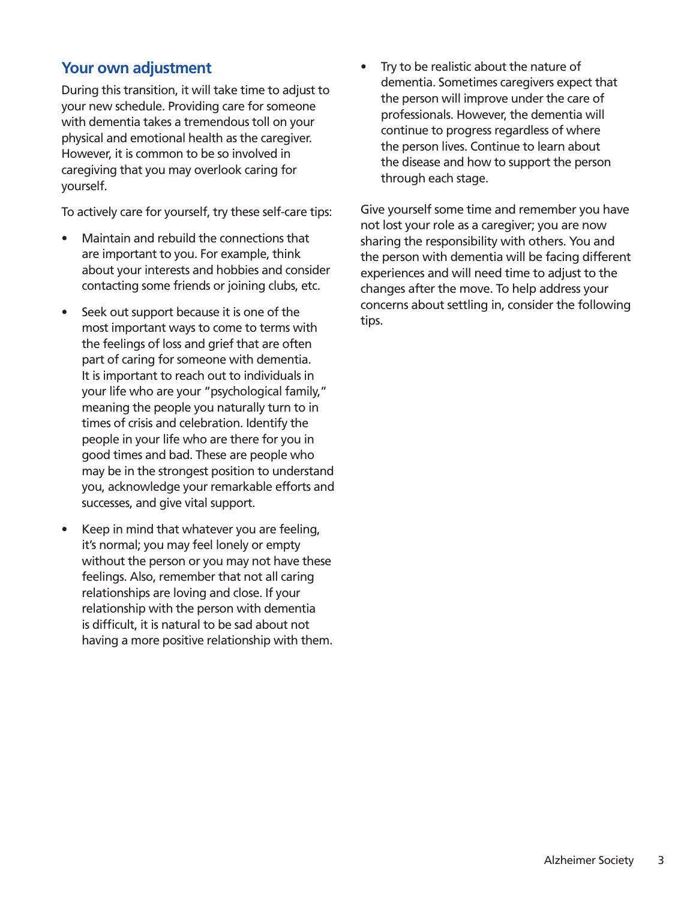#### **Your own adjustment**

During this transition, it will take time to adjust to your new schedule. Providing care for someone with dementia takes a tremendous toll on your physical and emotional health as the caregiver. However, it is common to be so involved in caregiving that you may overlook caring for yourself.

To actively care for yourself, try these self-care tips:

- Maintain and rebuild the connections that are important to you. For example, think about your interests and hobbies and consider contacting some friends or joining clubs, etc.
- Seek out support because it is one of the most important ways to come to terms with the feelings of loss and grief that are often part of caring for someone with dementia. It is important to reach out to individuals in your life who are your "psychological family," meaning the people you naturally turn to in times of crisis and celebration. Identify the people in your life who are there for you in good times and bad. These are people who may be in the strongest position to understand you, acknowledge your remarkable efforts and successes, and give vital support.
- Keep in mind that whatever you are feeling, it's normal; you may feel lonely or empty without the person or you may not have these feelings. Also, remember that not all caring relationships are loving and close. If your relationship with the person with dementia is difficult, it is natural to be sad about not having a more positive relationship with them.

Try to be realistic about the nature of dementia. Sometimes caregivers expect that the person will improve under the care of professionals. However, the dementia will continue to progress regardless of where the person lives. Continue to learn about the disease and how to support the person through each stage.

Give yourself some time and remember you have not lost your role as a caregiver; you are now sharing the responsibility with others. You and the person with dementia will be facing different experiences and will need time to adjust to the changes after the move. To help address your concerns about settling in, consider the following tips.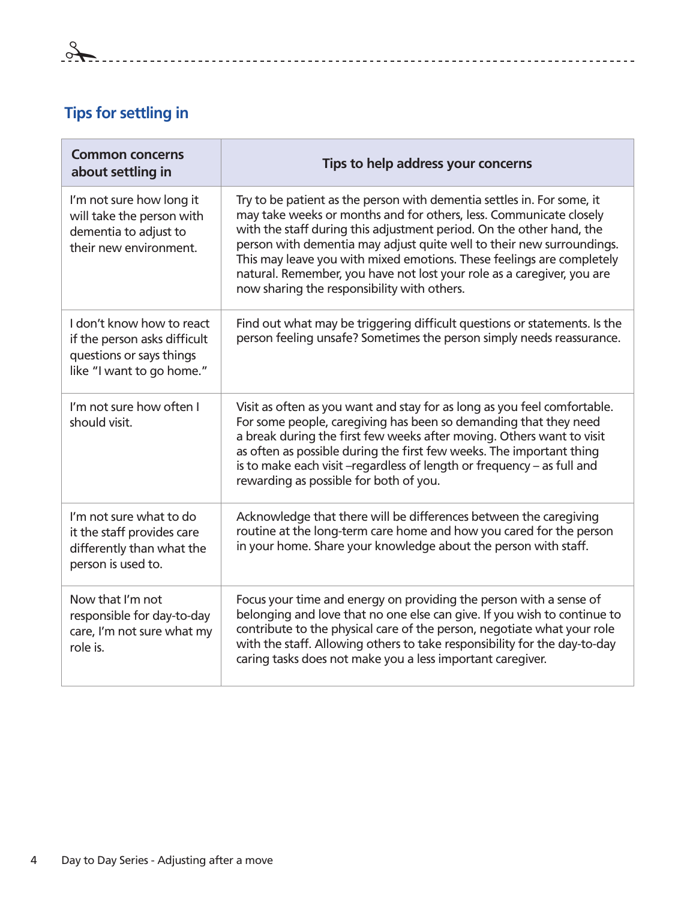### **Tips for settling in**

| <b>Common concerns</b><br>about settling in                                                                        | Tips to help address your concerns                                                                                                                                                                                                                                                                                                                                                                                                                                                              |
|--------------------------------------------------------------------------------------------------------------------|-------------------------------------------------------------------------------------------------------------------------------------------------------------------------------------------------------------------------------------------------------------------------------------------------------------------------------------------------------------------------------------------------------------------------------------------------------------------------------------------------|
| I'm not sure how long it<br>will take the person with<br>dementia to adjust to<br>their new environment.           | Try to be patient as the person with dementia settles in. For some, it<br>may take weeks or months and for others, less. Communicate closely<br>with the staff during this adjustment period. On the other hand, the<br>person with dementia may adjust quite well to their new surroundings.<br>This may leave you with mixed emotions. These feelings are completely<br>natural. Remember, you have not lost your role as a caregiver, you are<br>now sharing the responsibility with others. |
| I don't know how to react<br>if the person asks difficult<br>questions or says things<br>like "I want to go home." | Find out what may be triggering difficult questions or statements. Is the<br>person feeling unsafe? Sometimes the person simply needs reassurance.                                                                                                                                                                                                                                                                                                                                              |
| I'm not sure how often I<br>should visit.                                                                          | Visit as often as you want and stay for as long as you feel comfortable.<br>For some people, caregiving has been so demanding that they need<br>a break during the first few weeks after moving. Others want to visit<br>as often as possible during the first few weeks. The important thing<br>is to make each visit -regardless of length or frequency - as full and<br>rewarding as possible for both of you.                                                                               |
| I'm not sure what to do<br>it the staff provides care<br>differently than what the<br>person is used to.           | Acknowledge that there will be differences between the caregiving<br>routine at the long-term care home and how you cared for the person<br>in your home. Share your knowledge about the person with staff.                                                                                                                                                                                                                                                                                     |
| Now that I'm not<br>responsible for day-to-day<br>care, I'm not sure what my<br>role is.                           | Focus your time and energy on providing the person with a sense of<br>belonging and love that no one else can give. If you wish to continue to<br>contribute to the physical care of the person, negotiate what your role<br>with the staff. Allowing others to take responsibility for the day-to-day<br>caring tasks does not make you a less important caregiver.                                                                                                                            |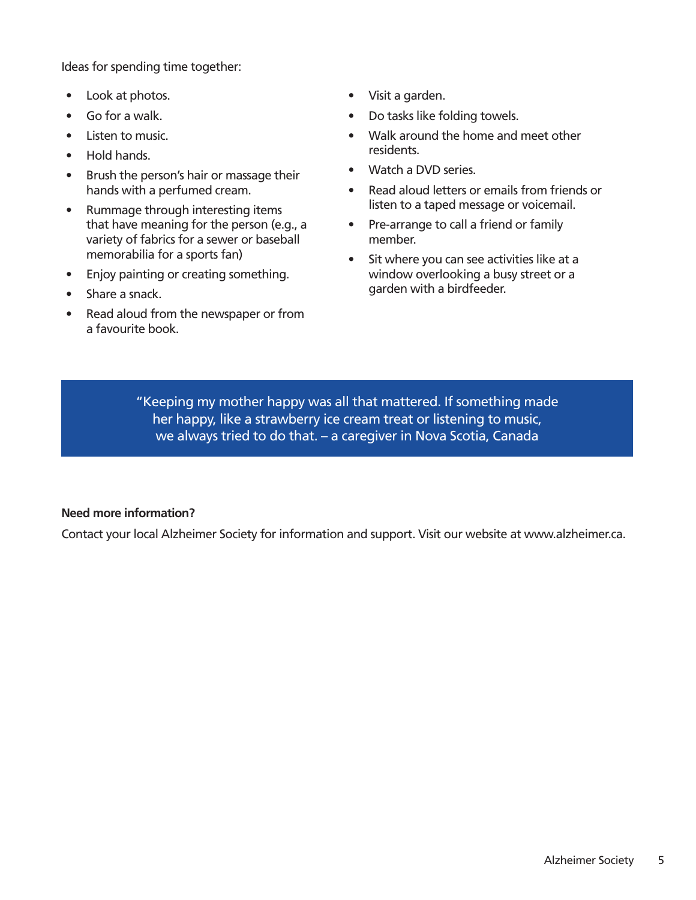Ideas for spending time together:

- Look at photos.
- Go for a walk.
- Listen to music.
- Hold hands.
- Brush the person's hair or massage their hands with a perfumed cream.
- Rummage through interesting items that have meaning for the person (e.g., a variety of fabrics for a sewer or baseball memorabilia for a sports fan)
- Enjoy painting or creating something.
- Share a snack.
- Read aloud from the newspaper or from a favourite book.
- Visit a garden.
- Do tasks like folding towels.
- Walk around the home and meet other residents.
- Watch a DVD series.
- Read aloud letters or emails from friends or listen to a taped message or voicemail.
- Pre-arrange to call a friend or family member.
- Sit where you can see activities like at a window overlooking a busy street or a garden with a birdfeeder.

"Keeping my mother happy was all that mattered. If something made her happy, like a strawberry ice cream treat or listening to music, we always tried to do that. – a caregiver in Nova Scotia, Canada

#### **Need more information?**

Contact your local Alzheimer Society for information and support. Visit our website at www.alzheimer.ca.